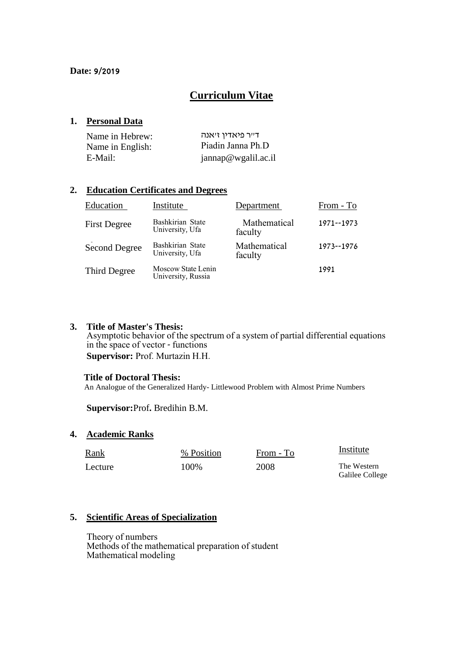# **Curriculum Vitae**

### **1. Personal Data**

| Name in Hebrew:  | ד״ר פיאדין זיאנה    |
|------------------|---------------------|
| Name in English: | Piadin Janna Ph.D   |
| E-Mail:          | jannap@wgalil.ac.il |

### **2. Education Certificates and Degrees**

| Education           | Institute                                | Department              | From - To  |
|---------------------|------------------------------------------|-------------------------|------------|
| <b>First Degree</b> | Bashkirian State<br>University, Ufa      | Mathematical<br>faculty | 1971--1973 |
| Second Degree       | Bashkirian State<br>University, Ufa      | Mathematical<br>faculty | 1973--1976 |
| Third Degree        | Moscow State Lenin<br>University, Russia |                         | 1991       |

#### **3. Title of Master's Thesis:**

Asymptotic behavior of the spectrum of a system of partial differential equations in the space of vector - functions **Supervisor:** Prof. Murtazin H.H.

### **Title of Doctoral Thesis:**

An Analogue of the Generalized Hardy- Littlewood Problem with Almost Prime Numbers

**Supervisor:**Prof**.** Bredihin B.M.

### **4. Academic Ranks**

| Rank    | % Position | From - To | Institute                      |
|---------|------------|-----------|--------------------------------|
| Lecture | 100\%      | 2008      | The Western<br>Galilee College |

### **5. Scientific Areas of Specialization**

Theory of numbers Methods of the mathematical preparation of student Mathematical modeling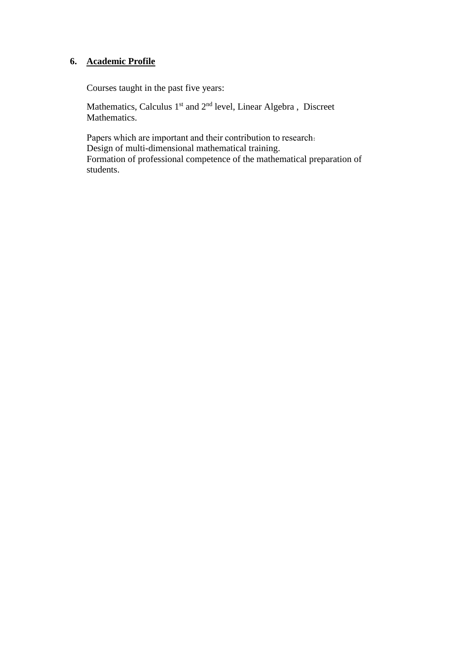# **6. Academic Profile**

Courses taught in the past five years:

Mathematics, Calculus  $1<sup>st</sup>$  and  $2<sup>nd</sup>$  level, Linear Algebra, Discreet Mathematics.

Papers which are important and their contribution to research: Design of multi-dimensional mathematical training. Formation of professional competence of the mathematical preparation of students.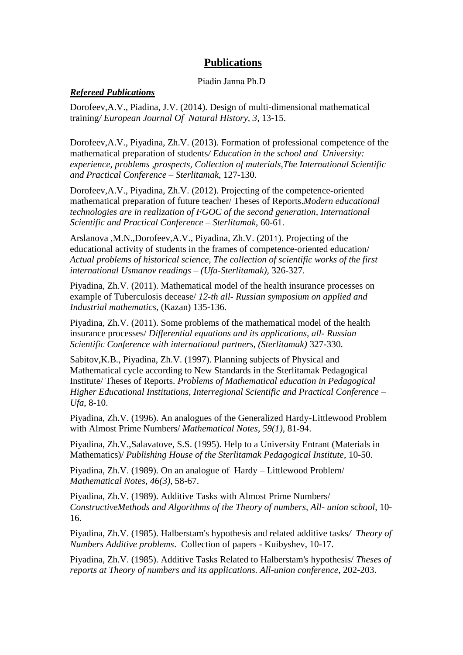## **Publications**

### Piadin Janna Ph.D

#### *Refereed Publications*

Dorofeev,A.V., Piadina, J.V. (2014). Design of multi-dimensional mathematical training*/ European Journal Of Natural History, 3*, 13-15.

Dorofeev,A.V., Piyadina, Zh.V. (2013). Formation of professional competence of the mathematical preparation of students*/ Education in the school and University: experience, problems ,prospects, Collection of materials,The International Scientific and Practical Conference – Sterlitamak*, 127-130.

Dorofeev,A.V., Piyadina, Zh.V. (2012). Projecting of the competence-oriented mathematical preparation of future teacher/ Theses of Reports.*Modern educational technologies are in realization of FGOC of the second generation, International Scientific and Practical Conference – Sterlitamak*, 60-61.

Arslanova ,M.N.,Dorofeev,A.V., Piyadina, Zh.V. (2011). Projecting of the educational activity of students in the frames of competence-oriented education/ *Actual problems of historical science, The collection of scientific works of the first international Usmanov readings – (Ufa-Sterlitamak),* 326-327.

Piyadina, Zh.V. (2011). Mathematical model of the health insurance processes on example of Tuberculosis decease/ *12-th all- Russian symposium on applied and Industrial mathematics,* (Kazan) 135-136.

Piyadina, Zh.V. (2011). Some problems of the mathematical model of the health insurance processes/ *Differential equations and its applications, all- Russian Scientific Conference with international partners, (Sterlitamak)* 327-330.

Sabitov,K.B., Piyadina, Zh.V. (1997). Planning subjects of Physical and Mathematical cycle according to New Standards in the Sterlitamak Pedagogical Institute/ Theses of Reports. *Problems of Mathematical education in Pedagogical Higher Educational Institutions, Interregional Scientific and Practical Conference – Ufa*, 8-10.

Piyadina, Zh.V. (1996). An analogues of the Generalized Hardy-Littlewood Problem with Almost Prime Numbers/ *Mathematical Notes*, *59(1),* 81-94.

Piyadina, Zh.V.,Salavatove, S.S. (1995). Help to a University Entrant (Materials in Mathematics)/ *Publishing House of the Sterlitamak Pedagogical Institute*, 10-50.

Piyadina, Zh.V. (1989). On an analogue of Hardy – Littlewood Problem/ *Mathematical Notes*, *46(3),* 58-67.

Piyadina, Zh.V. (1989). Additive Tasks with Almost Prime Numbers/ *ConstructiveMethods and Algorithms of the Theory of numbers, All- union school*, 10- 16.

Piyadina, Zh.V. (1985). Halberstam's hypothesis and related additive tasks*/ Theory of Numbers Additive problems*. Collection of papers - Kuibyshev, 10-17.

Piyadina, Zh.V. (1985). Additive Tasks Related to Halberstam's hypothesis/ *Theses of reports at Theory of numbers and its applications. All-union conference*, 202-203.